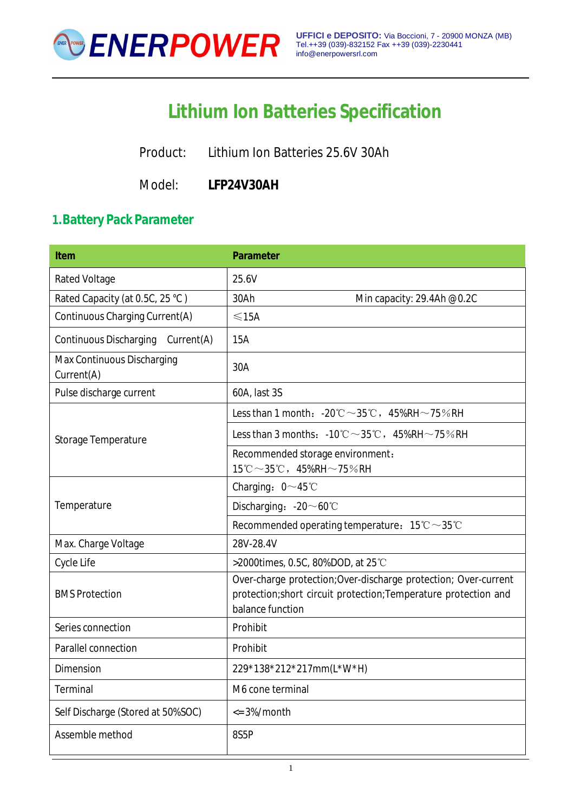

# **Lithium Ion Batteries Specification**

Product: Lithium Ion Batteries 25.6V 30Ah

Model: **LFP24V30AH**

## **1.Battery Pack Parameter**

| <b>Item</b>                                 | <b>Parameter</b>                                                                                                                                       |
|---------------------------------------------|--------------------------------------------------------------------------------------------------------------------------------------------------------|
| <b>Rated Voltage</b>                        | 25.6V                                                                                                                                                  |
| Rated Capacity (at 0.5C, 25 °C)             | Min capacity: 29.4Ah @0.2C<br>30Ah                                                                                                                     |
| Continuous Charging Current(A)              | $\leq$ 15A                                                                                                                                             |
| <b>Continuous Discharging</b><br>Current(A) | 15A                                                                                                                                                    |
| Max Continuous Discharging<br>Current(A)    | 30A                                                                                                                                                    |
| Pulse discharge current                     | 60A, last 3S                                                                                                                                           |
|                                             | Less than 1 month: $-20^{\circ}\text{C} \sim 35^{\circ}\text{C}$ , $45\%RH \sim 75\%RH$                                                                |
| Storage Temperature                         | Less than 3 months: $-10^{\circ}\text{C} \sim 35^{\circ}\text{C}$ , $45\%$ RH $\sim$ 75%RH                                                             |
|                                             | Recommended storage environment:<br>$15^{\circ}$ C ~ 35 $^{\circ}$ C, 45%RH ~ 75%RH                                                                    |
|                                             | Charging: $0 \sim 45^{\circ}$ C                                                                                                                        |
| Temperature                                 | Discharging: $-20 \sim 60^{\circ}$ C                                                                                                                   |
|                                             | Recommended operating temperature: $15^{\circ}\text{C} \sim 35^{\circ}\text{C}$                                                                        |
| Max. Charge Voltage                         | 28V-28.4V                                                                                                                                              |
| Cycle Life                                  | >2000times, 0.5C, 80%DOD, at 25 °C                                                                                                                     |
| <b>BMS Protection</b>                       | Over-charge protection; Over-discharge protection; Over-current<br>protection;short circuit protection; Temperature protection and<br>balance function |
| Series connection                           | Prohibit                                                                                                                                               |
| Parallel connection                         | Prohibit                                                                                                                                               |
| Dimension                                   | 229*138*212*217mm(L*W*H)                                                                                                                               |
| Terminal                                    | M6 cone terminal                                                                                                                                       |
| Self Discharge (Stored at 50%SOC)           | $\epsilon$ = 3%/month                                                                                                                                  |
| Assemble method                             | 8S5P                                                                                                                                                   |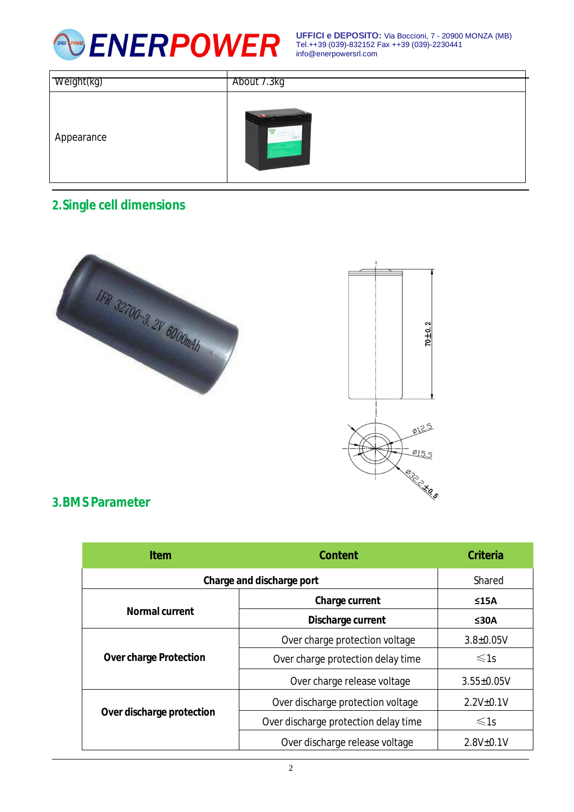

**UFFICI e DEPOSITO:** Via Boccioni, 7 - 20900 MONZA (MB) Tel.++39 (039)-832152 Fax ++39 (039)-2230441 [info@enerpowersrl.com](mailto:info@enerpowersrl.com)

| Weight(kg) | About 7.3kg                                |
|------------|--------------------------------------------|
| Appearance | $-22$<br>$\sim$<br><b>KON</b><br>ERRY TEAR |

## **2.Single cell dimensions**



#### **3.BMS Parameter**

| <b>Item</b>                   | <b>Content</b>                       | <b>Criteria</b>  |
|-------------------------------|--------------------------------------|------------------|
| Charge and discharge port     | Shared                               |                  |
| <b>Normal current</b>         | <b>Charge current</b>                | ≤15A             |
|                               | Discharge current                    | ≤30A             |
| <b>Over charge Protection</b> | Over charge protection voltage       | $3.8 \pm 0.05V$  |
|                               | Over charge protection delay time    | $\leq 1s$        |
|                               | Over charge release voltage          | $3.55 \pm 0.05V$ |
| Over discharge protection     | Over discharge protection voltage    | $2.2V + 0.1V$    |
|                               | Over discharge protection delay time | $\leq 1s$        |
|                               | Over discharge release voltage       | $2.8V_{\pm}0.1V$ |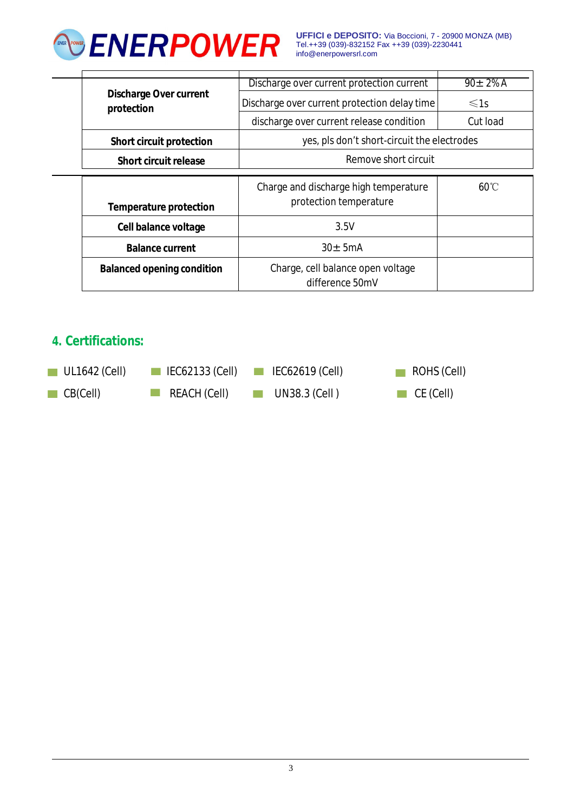

**UFFICI e DEPOSITO:** Via Boccioni, 7 - 20900 MONZA (MB) Tel.++39 (039)-832152 Fax ++39 (039)-2230441 [info@enerpowersrl.com](mailto:info@enerpowersrl.com)

|  |                                             | Discharge over current protection current            | $90 \pm 2\%$ A |
|--|---------------------------------------------|------------------------------------------------------|----------------|
|  | <b>Discharge Over current</b><br>protection | Discharge over current protection delay time         | $\leq 1s$      |
|  |                                             | discharge over current release condition             | Cut load       |
|  | <b>Short circuit protection</b>             | yes, pls don't short-circuit the electrodes          |                |
|  | Short circuit release                       | Remove short circuit                                 |                |
|  |                                             |                                                      |                |
|  |                                             | Charge and discharge high temperature                | $60^{\circ}$ C |
|  | <b>Temperature protection</b>               | protection temperature                               |                |
|  | Cell balance voltage                        | 3.5V                                                 |                |
|  | <b>Balance current</b>                      | $30 + 5mA$                                           |                |
|  | <b>Balanced opening condition</b>           | Charge, cell balance open voltage<br>difference 50mV |                |

## **4. Certifications:**

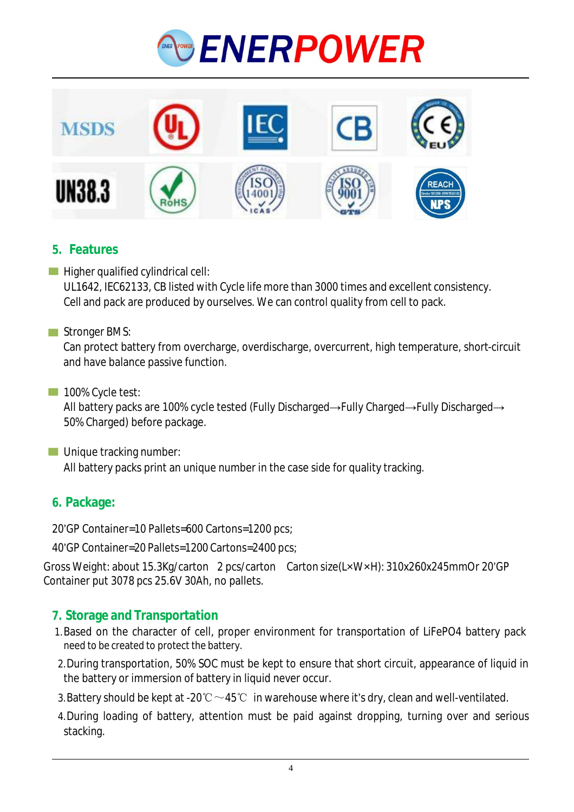



### **5. Features**

 $\blacksquare$  Higher qualified cylindrical cell: UL1642, IEC62133, CB listed with Cycle life more than 3000 times and excellent consistency. Cell and pack are produced by ourselves. We can control quality from cell to pack.

#### Stronger BMS:

Can protect battery from overcharge, overdischarge, overcurrent, high temperature, short-circuit and have balance passive function.

#### 100% Cycle test:

All battery packs are 100% cycle tested (Fully Discharged→Fully Charged→Fully Discharged→ 50% Charged) before package.

**Unique tracking number:** 

All battery packs print an unique number in the case side for quality tracking.

## **6. Package:**

20'GP Container=10 Pallets=600 Cartons=1200 pcs;

40'GP Container=20 Pallets=1200 Cartons=2400 pcs;

Gross Weight: about 15.3Kg/carton 2 pcs/carton Carton size(L×W×H): 310x260x245mmOr 20'GP Container put 3078 pcs 25.6V 30Ah, no pallets.

## **7. Storage and Transportation**

- 1.Based on the character of cell, proper environment for transportation of LiFePO4 battery pack need to be created to protect the battery.
- 2.During transportation, 50% SOC must be kept to ensure that short circuit, appearance of liquid in the battery or immersion of battery in liquid never occur.
- 3. Battery should be kept at -20℃  $\sim$  45℃ in warehouse where it's dry, clean and well-ventilated.
- 4.During loading of battery, attention must be paid against dropping, turning over and serious stacking.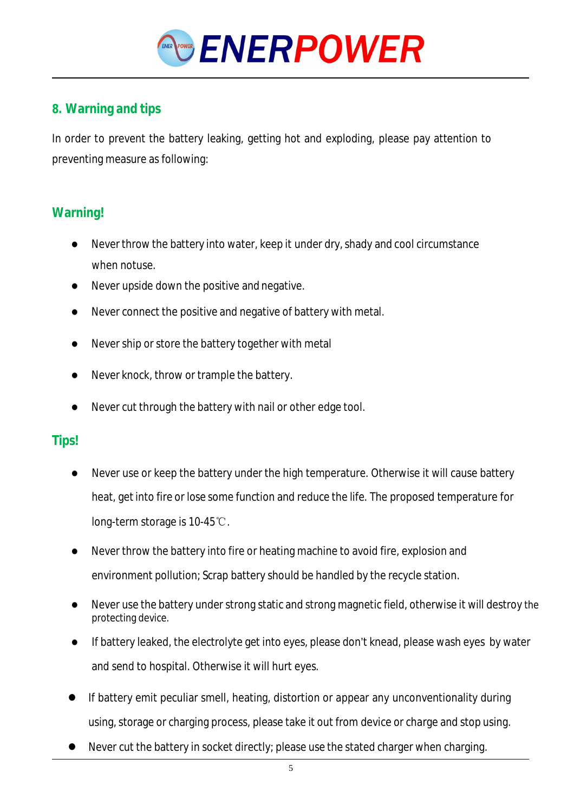

## **8. Warning and tips**

In order to prevent the battery leaking, getting hot and exploding, please pay attention to preventing measure as following:

#### **Warning!**

- Never throw the battery into water, keep it under dry, shady and cool circumstance when notuse.
- Never upside down the positive and negative.
- Never connect the positive and negative of battery with metal.
- Never ship or store the battery together with metal
- Never knock, throw or trample the battery.
- Never cut through the battery with nail or other edge tool.

## **Tips!**

- Never use or keep the battery under the high temperature. Otherwise it will cause battery heat, getinto fire or lose some function and reduce the life. The proposed temperature for long-term storage is 10-45℃.
- Never throw the battery into fire or heating machine to avoid fire, explosion and environment pollution; Scrap battery should be handled by the recycle station.
- Never use the battery under strong static and strong magnetic field, otherwise it will destroy the protecting device.
- If battery leaked, the electrolyte get into eyes, please don't knead, please wash eyes by water and send to hospital. Otherwise it will hurt eyes.
- If battery emit peculiar smell, heating, distortion or appear any unconventionality during using, storage or charging process, please take it out from device or charge and stop using.
- Never cut the battery in socket directly; please use the stated charger when charging.